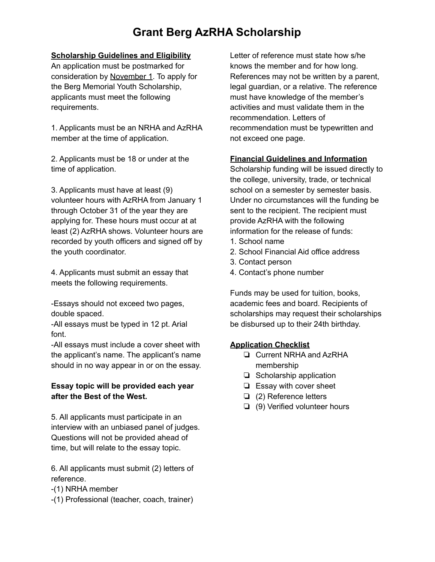# **Grant Berg AzRHA Scholarship**

### **Scholarship Guidelines and Eligibility**

An application must be postmarked for consideration by November 1. To apply for the Berg Memorial Youth Scholarship, applicants must meet the following requirements.

1. Applicants must be an NRHA and AzRHA member at the time of application.

2. Applicants must be 18 or under at the time of application.

3. Applicants must have at least (9) volunteer hours with AzRHA from January 1 through October 31 of the year they are applying for. These hours must occur at at least (2) AzRHA shows. Volunteer hours are recorded by youth officers and signed off by the youth coordinator.

4. Applicants must submit an essay that meets the following requirements.

-Essays should not exceed two pages, double spaced.

-All essays must be typed in 12 pt. Arial font.

-All essays must include a cover sheet with the applicant's name. The applicant's name should in no way appear in or on the essay.

### **Essay topic will be provided each year after the Best of the West.**

5. All applicants must participate in an interview with an unbiased panel of judges. Questions will not be provided ahead of time, but will relate to the essay topic.

6. All applicants must submit (2) letters of reference.

- -(1) NRHA member
- -(1) Professional (teacher, coach, trainer)

Letter of reference must state how s/he knows the member and for how long. References may not be written by a parent, legal guardian, or a relative. The reference must have knowledge of the member's activities and must validate them in the recommendation. Letters of recommendation must be typewritten and not exceed one page.

#### **Financial Guidelines and Information**

Scholarship funding will be issued directly to the college, university, trade, or technical school on a semester by semester basis. Under no circumstances will the funding be sent to the recipient. The recipient must provide AzRHA with the following information for the release of funds:

- 1. School name
- 2. School Financial Aid office address
- 3. Contact person
- 4. Contact's phone number

Funds may be used for tuition, books, academic fees and board. Recipients of scholarships may request their scholarships be disbursed up to their 24th birthday.

## **Application Checklist**

- **Q** Current NRHA and AzRHA membership
- $\Box$  Scholarship application
- $\Box$  Essay with cover sheet
- **□** (2) Reference letters
- $\Box$  (9) Verified volunteer hours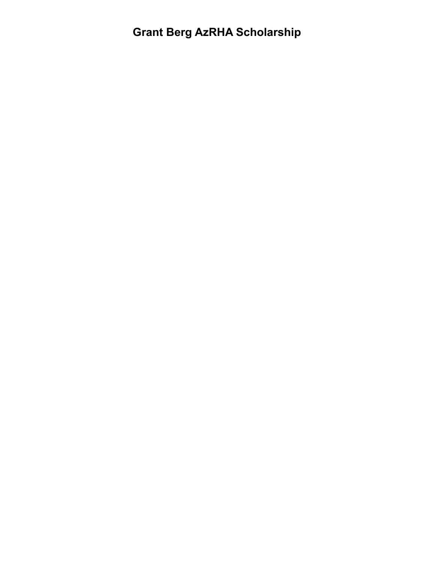# **Grant Berg AzRHA Scholarship**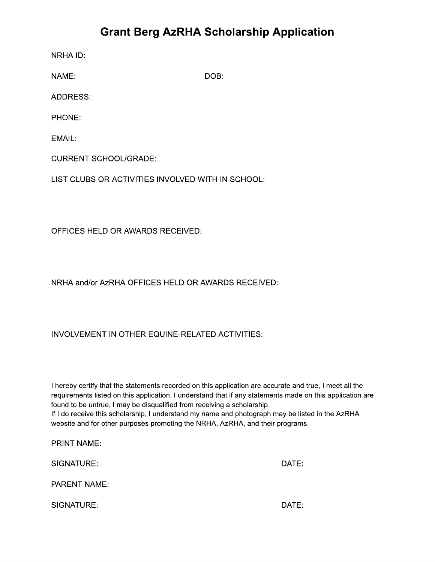## **Grant Berg AzRHA Scholarship Application**

NRHA ID:

NAME:

DOB:

**ADDRESS:** 

PHONE:

EMAIL:

**CURRENT SCHOOL/GRADE:** 

LIST CLUBS OR ACTIVITIES INVOLVED WITH IN SCHOOL:

OFFICES HELD OR AWARDS RECEIVED:

NRHA and/or AzRHA OFFICES HELD OR AWARDS RECEIVED:

## INVOLVEMENT IN OTHER EQUINE-RELATED ACTIVITIES:

I hereby certify that the statements recorded on this application are accurate and true, I meet all the requirements listed on this application. I understand that if any statements made on this application are found to be untrue, I may be disqualified from receiving a scholarship. If I do receive this scholarship, I understand my name and photograph may be listed in the AzRHA website and for other purposes promoting the NRHA, AzRHA, and their programs.

**PRINT NAME:** 

SIGNATURE:

DATE:

**PARENT NAME:** 

SIGNATURE: